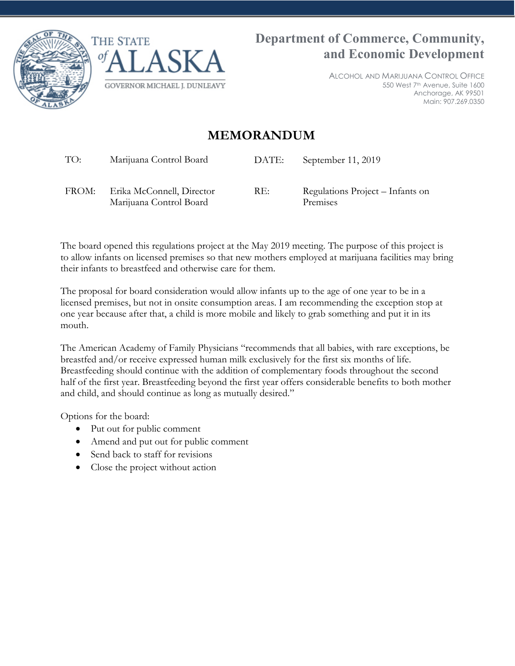



ALCOHOL AND MARIJUANA CONTROL OFFICE 550 West 7th Avenue, Suite 1600 Anchorage, AK 99501 Main: 907.269.0350

## **MEMORANDUM**

TO: Marijuana Control Board DATE: September 11, 2019

FROM: Erika McConnell, Director Marijuana Control Board

RE: Regulations Project – Infants on Premises

The board opened this regulations project at the May 2019 meeting. The purpose of this project is to allow infants on licensed premises so that new mothers employed at marijuana facilities may bring their infants to breastfeed and otherwise care for them.

The proposal for board consideration would allow infants up to the age of one year to be in a licensed premises, but not in onsite consumption areas. I am recommending the exception stop at one year because after that, a child is more mobile and likely to grab something and put it in its mouth.

The American Academy of Family Physicians "recommends that all babies, with rare exceptions, be breastfed and/or receive expressed human milk exclusively for the first six months of life. Breastfeeding should continue with the addition of complementary foods throughout the second half of the first year. Breastfeeding beyond the first year offers considerable benefits to both mother and child, and should continue as long as mutually desired."

Options for the board:

- Put out for public comment
- Amend and put out for public comment
- Send back to staff for revisions
- Close the project without action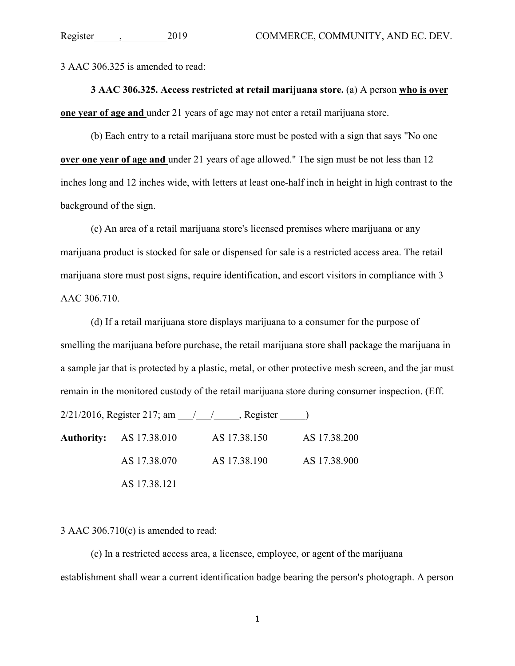3 AAC 306.325 is amended to read:

**3 AAC 306.325. Access restricted at retail marijuana store.** (a) A person **who is over one year of age and** under 21 years of age may not enter a retail marijuana store.

(b) Each entry to a retail marijuana store must be posted with a sign that says "No one **over one year of age and** under 21 years of age allowed." The sign must be not less than 12 inches long and 12 inches wide, with letters at least one-half inch in height in high contrast to the background of the sign.

(c) An area of a retail marijuana store's licensed premises where marijuana or any marijuana product is stocked for sale or dispensed for sale is a restricted access area. The retail marijuana store must post signs, require identification, and escort visitors in compliance with 3 AAC 306.710.

(d) If a retail marijuana store displays marijuana to a consumer for the purpose of smelling the marijuana before purchase, the retail marijuana store shall package the marijuana in a sample jar that is protected by a plastic, metal, or other protective mesh screen, and the jar must remain in the monitored custody of the retail marijuana store during consumer inspection. (Eff.

 $2/21/2016$ , Register 217; am  $\frac{1}{\sqrt{2}}$ , Register  $\frac{1}{\sqrt{2}}$ 

**Authority:** AS 17.38.010 AS 17.38.150 AS 17.38.200 AS 17.38.070 AS 17.38.190 AS 17.38.900 AS 17.38.121

3 AAC 306.710(c) is amended to read:

(c) In a restricted access area, a licensee, employee, or agent of the marijuana establishment shall wear a current identification badge bearing the person's photograph. A person